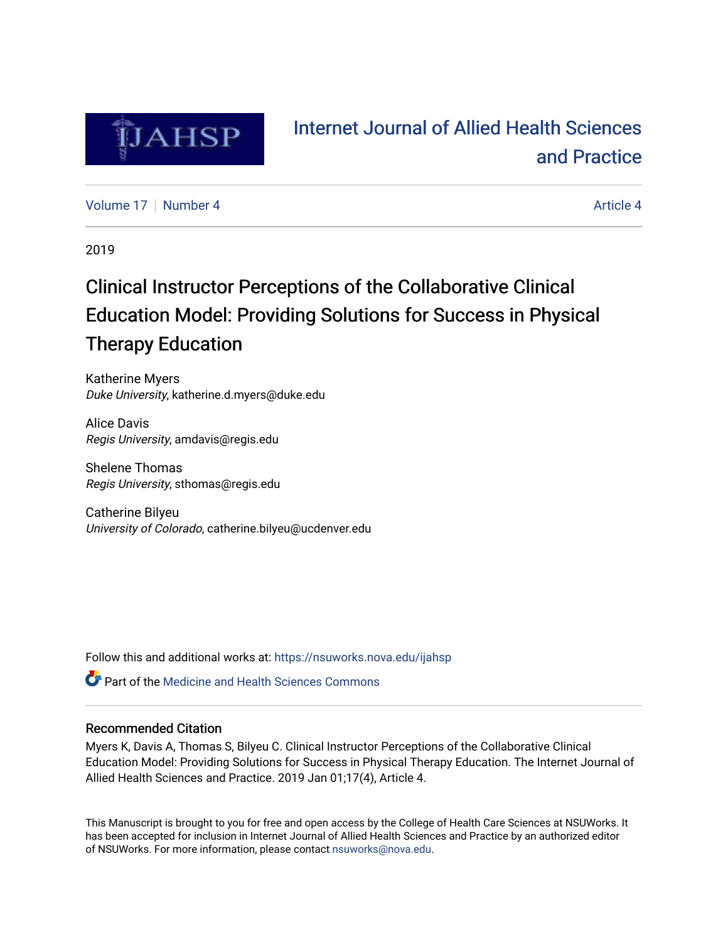

# [Internet Journal of Allied Health Sciences](https://nsuworks.nova.edu/ijahsp)  [and Practice](https://nsuworks.nova.edu/ijahsp)

[Volume 17](https://nsuworks.nova.edu/ijahsp/vol17) | [Number 4](https://nsuworks.nova.edu/ijahsp/vol17/iss4) Article 4

2019

# Clinical Instructor Perceptions of the Collaborative Clinical Education Model: Providing Solutions for Success in Physical Therapy Education

Katherine Myers Duke University, katherine.d.myers@duke.edu

Alice Davis Regis University, amdavis@regis.edu

Shelene Thomas Regis University, sthomas@regis.edu

Catherine Bilyeu University of Colorado, catherine.bilyeu@ucdenver.edu

Follow this and additional works at: [https://nsuworks.nova.edu/ijahsp](https://nsuworks.nova.edu/ijahsp?utm_source=nsuworks.nova.edu%2Fijahsp%2Fvol17%2Fiss4%2F4&utm_medium=PDF&utm_campaign=PDFCoverPages) 

**C** Part of the Medicine and Health Sciences Commons

# Recommended Citation

Myers K, Davis A, Thomas S, Bilyeu C. Clinical Instructor Perceptions of the Collaborative Clinical Education Model: Providing Solutions for Success in Physical Therapy Education. The Internet Journal of Allied Health Sciences and Practice. 2019 Jan 01;17(4), Article 4.

This Manuscript is brought to you for free and open access by the College of Health Care Sciences at NSUWorks. It has been accepted for inclusion in Internet Journal of Allied Health Sciences and Practice by an authorized editor of NSUWorks. For more information, please contact [nsuworks@nova.edu.](mailto:nsuworks@nova.edu)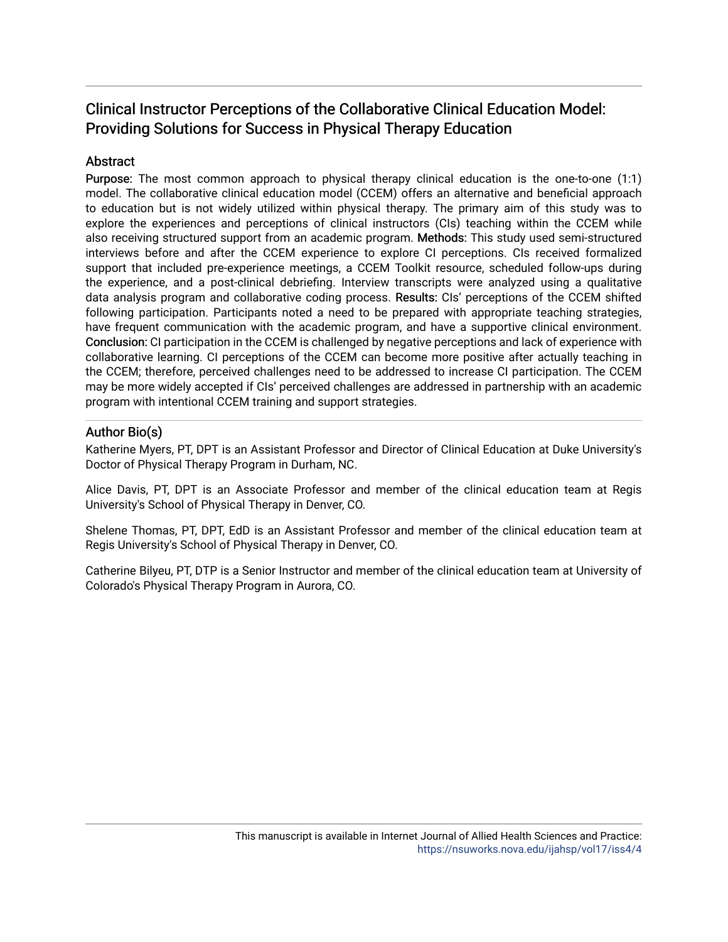# Clinical Instructor Perceptions of the Collaborative Clinical Education Model: Providing Solutions for Success in Physical Therapy Education

# **Abstract**

Purpose: The most common approach to physical therapy clinical education is the one-to-one (1:1) model. The collaborative clinical education model (CCEM) offers an alternative and beneficial approach to education but is not widely utilized within physical therapy. The primary aim of this study was to explore the experiences and perceptions of clinical instructors (CIs) teaching within the CCEM while also receiving structured support from an academic program. Methods: This study used semi-structured interviews before and after the CCEM experience to explore CI perceptions. CIs received formalized support that included pre-experience meetings, a CCEM Toolkit resource, scheduled follow-ups during the experience, and a post-clinical debriefing. Interview transcripts were analyzed using a qualitative data analysis program and collaborative coding process. Results: CIs' perceptions of the CCEM shifted following participation. Participants noted a need to be prepared with appropriate teaching strategies, have frequent communication with the academic program, and have a supportive clinical environment. Conclusion: CI participation in the CCEM is challenged by negative perceptions and lack of experience with collaborative learning. CI perceptions of the CCEM can become more positive after actually teaching in the CCEM; therefore, perceived challenges need to be addressed to increase CI participation. The CCEM may be more widely accepted if CIs' perceived challenges are addressed in partnership with an academic program with intentional CCEM training and support strategies.

# Author Bio(s)

Katherine Myers, PT, DPT is an Assistant Professor and Director of Clinical Education at Duke University's Doctor of Physical Therapy Program in Durham, NC.

Alice Davis, PT, DPT is an Associate Professor and member of the clinical education team at Regis University's School of Physical Therapy in Denver, CO.

Shelene Thomas, PT, DPT, EdD is an Assistant Professor and member of the clinical education team at Regis University's School of Physical Therapy in Denver, CO.

Catherine Bilyeu, PT, DTP is a Senior Instructor and member of the clinical education team at University of Colorado's Physical Therapy Program in Aurora, CO.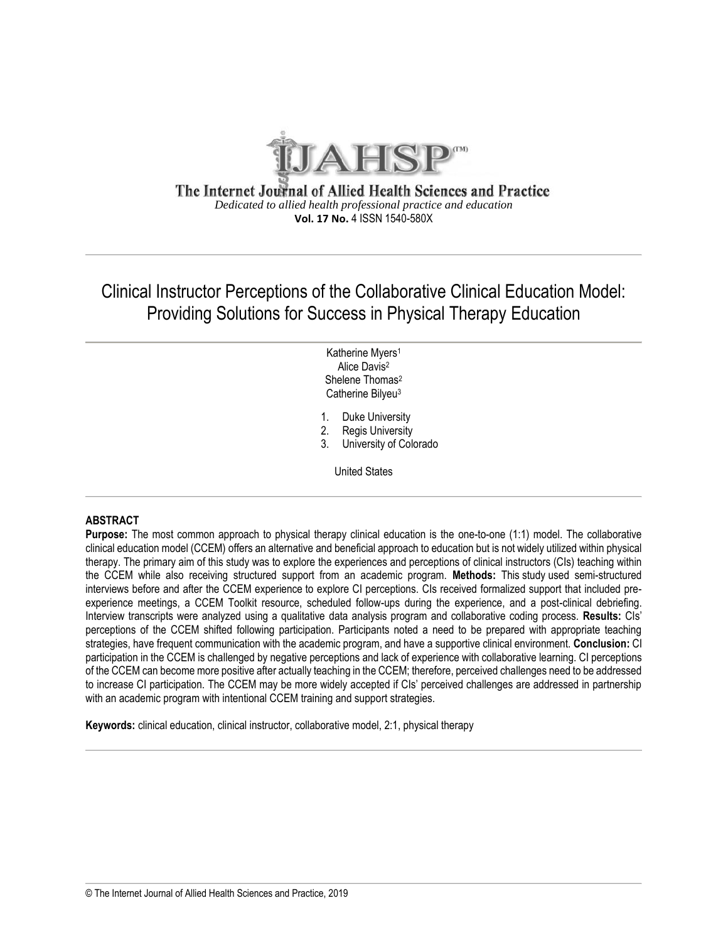

The Internet Journal of Allied Health Sciences and Practice *Dedicated to allied health professional practice and education* **Vol. 17 No.** 4 ISSN 1540-580X

Clinical Instructor Perceptions of the Collaborative Clinical Education Model: Providing Solutions for Success in Physical Therapy Education

> Katherine Myers<sup>1</sup> Alice Davis<sup>2</sup> Shelene Thomas<sup>2</sup> Catherine Bilyeu<sup>3</sup>

- 1. Duke University
- 2. Regis University
- 3. University of Colorado

United States

### **ABSTRACT**

**Purpose:** The most common approach to physical therapy clinical education is the one-to-one (1:1) model. The collaborative clinical education model (CCEM) offers an alternative and beneficial approach to education but is not widely utilized within physical therapy. The primary aim of this study was to explore the experiences and perceptions of clinical instructors (CIs) teaching within the CCEM while also receiving structured support from an academic program. **Methods:** This study used semi-structured interviews before and after the CCEM experience to explore CI perceptions. CIs received formalized support that included preexperience meetings, a CCEM Toolkit resource, scheduled follow-ups during the experience, and a post-clinical debriefing. Interview transcripts were analyzed using a qualitative data analysis program and collaborative coding process. **Results:** CIs' perceptions of the CCEM shifted following participation. Participants noted a need to be prepared with appropriate teaching strategies, have frequent communication with the academic program, and have a supportive clinical environment. **Conclusion:** CI participation in the CCEM is challenged by negative perceptions and lack of experience with collaborative learning. CI perceptions of the CCEM can become more positive after actually teaching in the CCEM; therefore, perceived challenges need to be addressed to increase CI participation. The CCEM may be more widely accepted if CIs' perceived challenges are addressed in partnership with an academic program with intentional CCEM training and support strategies.

**Keywords:** clinical education, clinical instructor, collaborative model, 2:1, physical therapy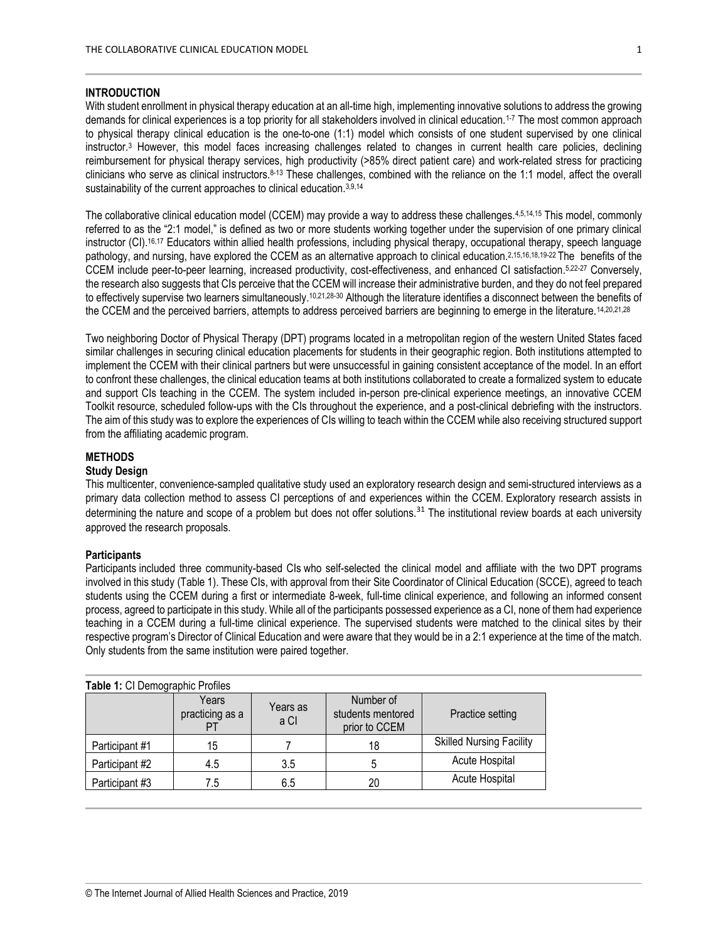### **INTRODUCTION**

With student enrollment in physical therapy education at an all-time high, implementing innovative solutions to address the growing demands for clinical experiences is a top priority for all stakeholders involved in clinical education.1-7 The most common approach to physical therapy clinical education is the one-to-one (1:1) model which consists of one student supervised by one clinical instructor.<sup>3</sup> However, this model faces increasing challenges related to changes in current health care policies, declining reimbursement for physical therapy services, high productivity (>85% direct patient care) and work-related stress for practicing clinicians who serve as clinical instructors.8-13 These challenges, combined with the reliance on the 1:1 model, affect the overall sustainability of the current approaches to clinical education.<sup>3,9,14</sup>

The collaborative clinical education model (CCEM) may provide a way to address these challenges.<sup>4,5,14,15</sup> This model, commonly referred to as the "2:1 model," is defined as two or more students working together under the supervision of one primary clinical instructor (CI). 16,17 Educators within allied health professions, including physical therapy, occupational therapy, speech language pathology, and nursing, have explored the CCEM as an alternative approach to clinical education. 2,15,16,18,19-22 The benefits of the CCEM include peer-to-peer learning, increased productivity, cost-effectiveness, and enhanced CI satisfaction.<sup>5,22-27</sup> Conversely, the research also suggests that CIs perceive that the CCEM will increase their administrative burden, and they do not feel prepared to effectively supervise two learners simultaneously.<sup>10,21,28-30</sup> Although the literature identifies a disconnect between the benefits of the CCEM and the perceived barriers, attempts to address perceived barriers are beginning to emerge in the literature.14,20,21,28

Two neighboring Doctor of Physical Therapy (DPT) programs located in a metropolitan region of the western United States faced similar challenges in securing clinical education placements for students in their geographic region. Both institutions attempted to implement the CCEM with their clinical partners but were unsuccessful in gaining consistent acceptance of the model. In an effort to confront these challenges, the clinical education teams at both institutions collaborated to create a formalized system to educate and support CIs teaching in the CCEM. The system included in-person pre-clinical experience meetings, an innovative CCEM Toolkit resource, scheduled follow-ups with the CIs throughout the experience, and a post-clinical debriefing with the instructors. The aim of this study was to explore the experiences of CIs willing to teach within the CCEM while also receiving structured support from the affiliating academic program.

# **METHODS**

#### **Study Design**

This multicenter, convenience-sampled qualitative study used an exploratory research design and semi-structured interviews as a primary data collection method to assess CI perceptions of and experiences within the CCEM. Exploratory research assists in determining the nature and scope of a problem but does not offer solutions.<sup>31</sup> The institutional review boards at each university approved the research proposals.

#### **Participants**

Participants included three community-based CIs who self-selected the clinical model and affiliate with the two DPT programs involved in this study (Table 1). These CIs, with approval from their Site Coordinator of Clinical Education (SCCE), agreed to teach students using the CCEM during a first or intermediate 8-week, full-time clinical experience, and following an informed consent process, agreed to participate in this study. While all of the participants possessed experience as a CI, none of them had experience teaching in a CCEM during a full-time clinical experience. The supervised students were matched to the clinical sites by their respective program's Director of Clinical Education and were aware that they would be in a 2:1 experience at the time of the match. Only students from the same institution were paired together.

| Table 1: CI Demographic Profiles |                                |                  |                                                 |                                 |  |
|----------------------------------|--------------------------------|------------------|-------------------------------------------------|---------------------------------|--|
|                                  | Years<br>practicing as a<br>PT | Years as<br>a Cl | Number of<br>students mentored<br>prior to CCEM | Practice setting                |  |
| Participant #1                   | 15                             |                  | 18                                              | <b>Skilled Nursing Facility</b> |  |
| Participant #2                   | 4.5                            | 3.5              |                                                 | Acute Hospital                  |  |
| Participant #3                   | 7.5                            | 6.5              | 20                                              | <b>Acute Hospital</b>           |  |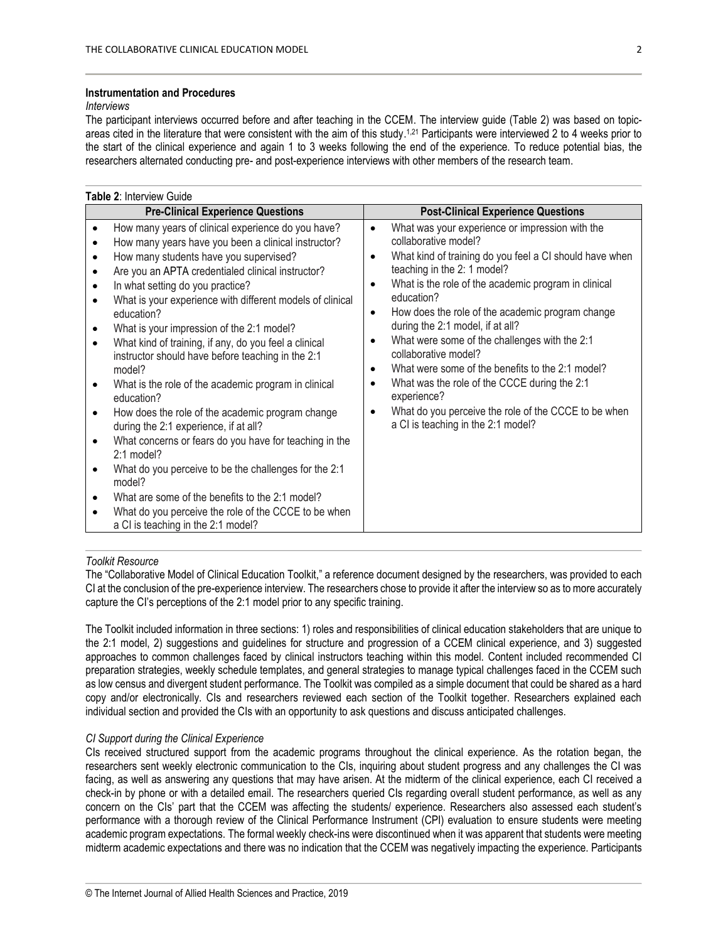# **Instrumentation and Procedures**

#### *Interviews*

The participant interviews occurred before and after teaching in the CCEM. The interview guide (Table 2) was based on topicareas cited in the literature that were consistent with the aim of this study.<sup>1,21</sup> Participants were interviewed 2 to 4 weeks prior to the start of the clinical experience and again 1 to 3 weeks following the end of the experience. To reduce potential bias, the researchers alternated conducting pre- and post-experience interviews with other members of the research team.

| Table 2: Interview Guide                                                                                                                                                                                                                                                                                                                                                                                                                                                                                                                                                                                                                                                                                                                                                                                                                                                                                                                                                                                                                                                                                                               |                                                                                                                                                                                                                                                                                                                                                                                                                                                                                                                                                                                                                                                                                                         |  |  |  |
|----------------------------------------------------------------------------------------------------------------------------------------------------------------------------------------------------------------------------------------------------------------------------------------------------------------------------------------------------------------------------------------------------------------------------------------------------------------------------------------------------------------------------------------------------------------------------------------------------------------------------------------------------------------------------------------------------------------------------------------------------------------------------------------------------------------------------------------------------------------------------------------------------------------------------------------------------------------------------------------------------------------------------------------------------------------------------------------------------------------------------------------|---------------------------------------------------------------------------------------------------------------------------------------------------------------------------------------------------------------------------------------------------------------------------------------------------------------------------------------------------------------------------------------------------------------------------------------------------------------------------------------------------------------------------------------------------------------------------------------------------------------------------------------------------------------------------------------------------------|--|--|--|
| <b>Pre-Clinical Experience Questions</b>                                                                                                                                                                                                                                                                                                                                                                                                                                                                                                                                                                                                                                                                                                                                                                                                                                                                                                                                                                                                                                                                                               | <b>Post-Clinical Experience Questions</b>                                                                                                                                                                                                                                                                                                                                                                                                                                                                                                                                                                                                                                                               |  |  |  |
| How many years of clinical experience do you have?<br>$\bullet$<br>How many years have you been a clinical instructor?<br>$\bullet$<br>How many students have you supervised?<br>Are you an APTA credentialed clinical instructor?<br>$\bullet$<br>In what setting do you practice?<br>$\bullet$<br>What is your experience with different models of clinical<br>$\bullet$<br>education?<br>What is your impression of the 2:1 model?<br>$\bullet$<br>What kind of training, if any, do you feel a clinical<br>$\bullet$<br>instructor should have before teaching in the 2:1<br>model?<br>What is the role of the academic program in clinical<br>$\bullet$<br>education?<br>How does the role of the academic program change<br>$\bullet$<br>during the 2:1 experience, if at all?<br>What concerns or fears do you have for teaching in the<br>$\bullet$<br>$2:1$ model?<br>What do you perceive to be the challenges for the 2:1<br>$\bullet$<br>model?<br>What are some of the benefits to the 2:1 model?<br>$\bullet$<br>What do you perceive the role of the CCCE to be when<br>$\bullet$<br>a CI is teaching in the 2:1 model? | What was your experience or impression with the<br>$\bullet$<br>collaborative model?<br>What kind of training do you feel a CI should have when<br>teaching in the 2: 1 model?<br>What is the role of the academic program in clinical<br>$\bullet$<br>education?<br>How does the role of the academic program change<br>$\bullet$<br>during the 2:1 model, if at all?<br>What were some of the challenges with the 2:1<br>$\bullet$<br>collaborative model?<br>What were some of the benefits to the 2:1 model?<br>$\bullet$<br>What was the role of the CCCE during the 2:1<br>$\bullet$<br>experience?<br>What do you perceive the role of the CCCE to be when<br>a CI is teaching in the 2:1 model? |  |  |  |

#### *Toolkit Resource*

The "Collaborative Model of Clinical Education Toolkit," a reference document designed by the researchers, was provided to each CI at the conclusion of the pre-experience interview. The researchers chose to provide it after the interview so as to more accurately capture the CI's perceptions of the 2:1 model prior to any specific training.

The Toolkit included information in three sections: 1) roles and responsibilities of clinical education stakeholders that are unique to the 2:1 model, 2) suggestions and guidelines for structure and progression of a CCEM clinical experience, and 3) suggested approaches to common challenges faced by clinical instructors teaching within this model. Content included recommended CI preparation strategies, weekly schedule templates, and general strategies to manage typical challenges faced in the CCEM such as low census and divergent student performance. The Toolkit was compiled as a simple document that could be shared as a hard copy and/or electronically. CIs and researchers reviewed each section of the Toolkit together. Researchers explained each individual section and provided the CIs with an opportunity to ask questions and discuss anticipated challenges.

### *CI Support during the Clinical Experience*

CIs received structured support from the academic programs throughout the clinical experience. As the rotation began, the researchers sent weekly electronic communication to the CIs, inquiring about student progress and any challenges the CI was facing, as well as answering any questions that may have arisen. At the midterm of the clinical experience, each CI received a check-in by phone or with a detailed email. The researchers queried CIs regarding overall student performance, as well as any concern on the CIs' part that the CCEM was affecting the students/ experience. Researchers also assessed each student's performance with a thorough review of the Clinical Performance Instrument (CPI) evaluation to ensure students were meeting academic program expectations. The formal weekly check-ins were discontinued when it was apparent that students were meeting midterm academic expectations and there was no indication that the CCEM was negatively impacting the experience. Participants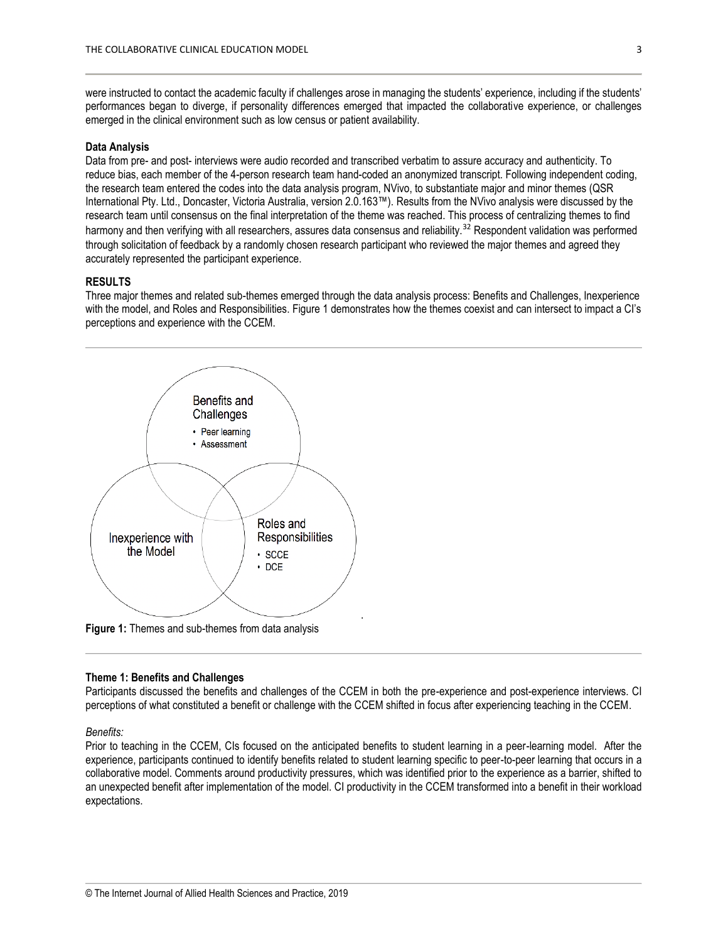were instructed to contact the academic faculty if challenges arose in managing the students' experience, including if the students' performances began to diverge, if personality differences emerged that impacted the collaborative experience, or challenges emerged in the clinical environment such as low census or patient availability.

#### **Data Analysis**

Data from pre- and post- interviews were audio recorded and transcribed verbatim to assure accuracy and authenticity. To reduce bias, each member of the 4-person research team hand-coded an anonymized transcript. Following independent coding, the research team entered the codes into the data analysis program, NVivo, to substantiate major and minor themes (QSR International Pty. Ltd., Doncaster, Victoria Australia, version 2.0.163™). Results from the NVivo analysis were discussed by the research team until consensus on the final interpretation of the theme was reached. This process of centralizing themes to find harmony and then verifying with all researchers, assures data consensus and reliability.<sup>32</sup> Respondent validation was performed through solicitation of feedback by a randomly chosen research participant who reviewed the major themes and agreed they accurately represented the participant experience.

# **RESULTS**

Three major themes and related sub-themes emerged through the data analysis process: Benefits and Challenges, Inexperience with the model, and Roles and Responsibilities. Figure 1 demonstrates how the themes coexist and can intersect to impact a CI's perceptions and experience with the CCEM.



**Figure 1:** Themes and sub-themes from data analysis

#### **Theme 1: Benefits and Challenges**

Participants discussed the benefits and challenges of the CCEM in both the pre-experience and post-experience interviews. CI perceptions of what constituted a benefit or challenge with the CCEM shifted in focus after experiencing teaching in the CCEM.

#### *Benefits:*

Prior to teaching in the CCEM, CIs focused on the anticipated benefits to student learning in a peer-learning model. After the experience, participants continued to identify benefits related to student learning specific to peer-to-peer learning that occurs in a collaborative model. Comments around productivity pressures, which was identified prior to the experience as a barrier, shifted to an unexpected benefit after implementation of the model. CI productivity in the CCEM transformed into a benefit in their workload expectations.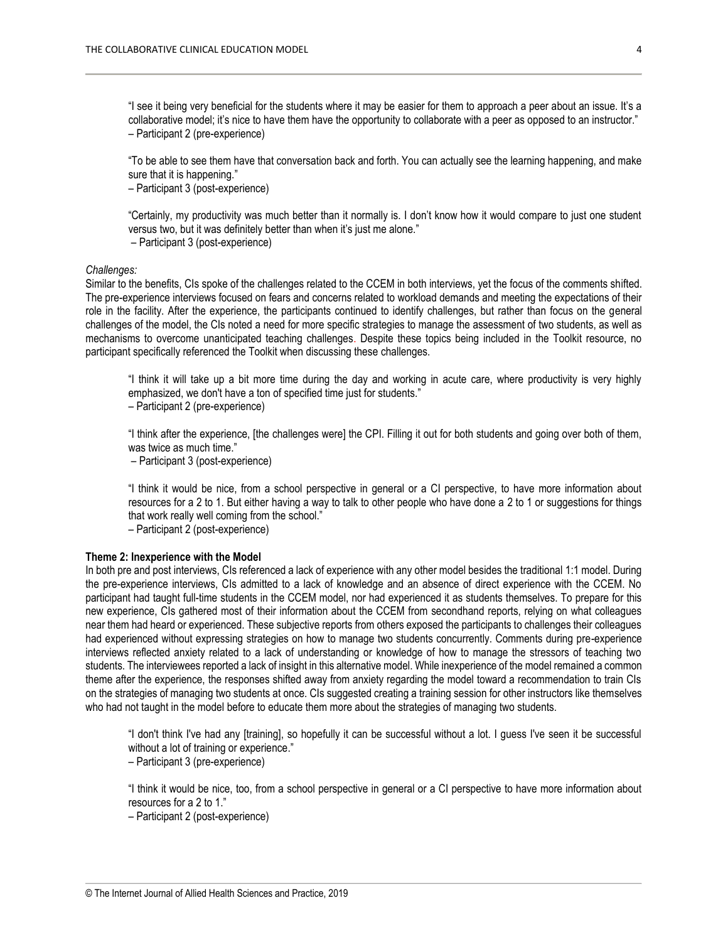"I see it being very beneficial for the students where it may be easier for them to approach a peer about an issue. It's a collaborative model; it's nice to have them have the opportunity to collaborate with a peer as opposed to an instructor." – Participant 2 (pre-experience)

"To be able to see them have that conversation back and forth. You can actually see the learning happening, and make sure that it is happening."

– Participant 3 (post-experience)

"Certainly, my productivity was much better than it normally is. I don't know how it would compare to just one student versus two, but it was definitely better than when it's just me alone."

– Participant 3 (post-experience)

*Challenges:*

Similar to the benefits, CIs spoke of the challenges related to the CCEM in both interviews, yet the focus of the comments shifted. The pre-experience interviews focused on fears and concerns related to workload demands and meeting the expectations of their role in the facility. After the experience, the participants continued to identify challenges, but rather than focus on the general challenges of the model, the CIs noted a need for more specific strategies to manage the assessment of two students, as well as mechanisms to overcome unanticipated teaching challenges. Despite these topics being included in the Toolkit resource, no participant specifically referenced the Toolkit when discussing these challenges.

"I think it will take up a bit more time during the day and working in acute care, where productivity is very highly emphasized, we don't have a ton of specified time just for students."

– Participant 2 (pre-experience)

"I think after the experience, [the challenges were] the CPI. Filling it out for both students and going over both of them, was twice as much time."

– Participant 3 (post-experience)

"I think it would be nice, from a school perspective in general or a CI perspective, to have more information about resources for a 2 to 1. But either having a way to talk to other people who have done a 2 to 1 or suggestions for things that work really well coming from the school."

– Participant 2 (post-experience)

# **Theme 2: Inexperience with the Model**

In both pre and post interviews, CIs referenced a lack of experience with any other model besides the traditional 1:1 model. During the pre-experience interviews, CIs admitted to a lack of knowledge and an absence of direct experience with the CCEM. No participant had taught full-time students in the CCEM model, nor had experienced it as students themselves. To prepare for this new experience, CIs gathered most of their information about the CCEM from secondhand reports, relying on what colleagues near them had heard or experienced. These subjective reports from others exposed the participants to challenges their colleagues had experienced without expressing strategies on how to manage two students concurrently. Comments during pre-experience interviews reflected anxiety related to a lack of understanding or knowledge of how to manage the stressors of teaching two students. The interviewees reported a lack of insight in this alternative model. While inexperience of the model remained a common theme after the experience, the responses shifted away from anxiety regarding the model toward a recommendation to train CIs on the strategies of managing two students at once. CIs suggested creating a training session for other instructors like themselves who had not taught in the model before to educate them more about the strategies of managing two students.

"I don't think I've had any [training], so hopefully it can be successful without a lot. I guess I've seen it be successful without a lot of training or experience."

– Participant 3 (pre-experience)

"I think it would be nice, too, from a school perspective in general or a CI perspective to have more information about resources for a 2 to 1."

– Participant 2 (post-experience)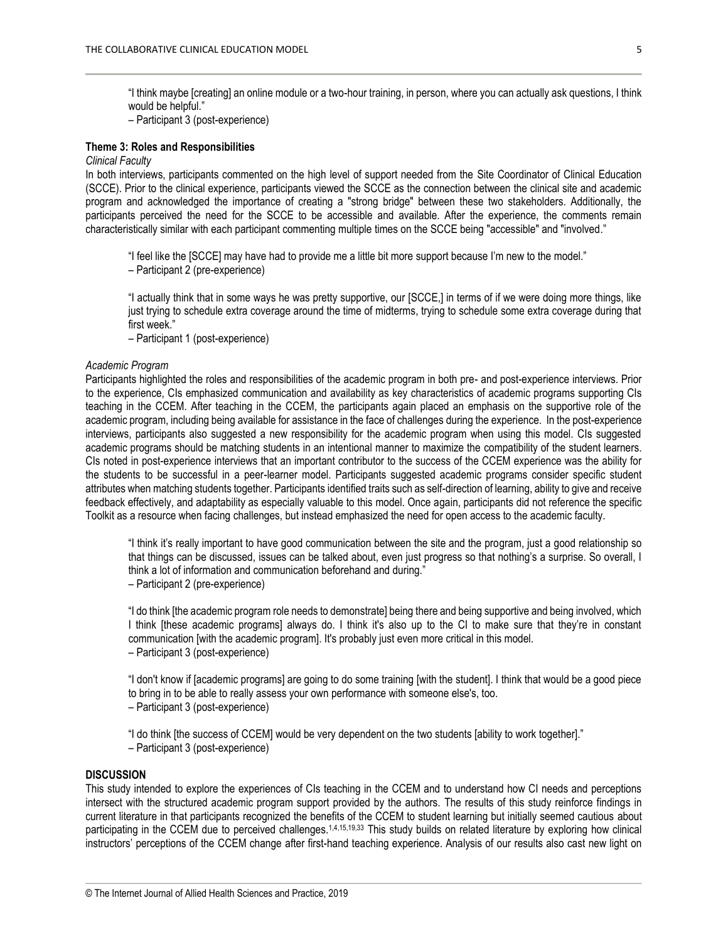"I think maybe [creating] an online module or a two-hour training, in person, where you can actually ask questions, I think would be helpful."

– Participant 3 (post-experience)

# **Theme 3: Roles and Responsibilities**

#### *Clinical Faculty*

In both interviews, participants commented on the high level of support needed from the Site Coordinator of Clinical Education (SCCE). Prior to the clinical experience, participants viewed the SCCE as the connection between the clinical site and academic program and acknowledged the importance of creating a "strong bridge" between these two stakeholders. Additionally, the participants perceived the need for the SCCE to be accessible and available. After the experience, the comments remain characteristically similar with each participant commenting multiple times on the SCCE being "accessible" and "involved."

"I feel like the [SCCE] may have had to provide me a little bit more support because I'm new to the model." – Participant 2 (pre-experience)

"I actually think that in some ways he was pretty supportive, our [SCCE,] in terms of if we were doing more things, like just trying to schedule extra coverage around the time of midterms, trying to schedule some extra coverage during that first week."

– Participant 1 (post-experience)

# *Academic Program*

Participants highlighted the roles and responsibilities of the academic program in both pre- and post-experience interviews. Prior to the experience, CIs emphasized communication and availability as key characteristics of academic programs supporting CIs teaching in the CCEM. After teaching in the CCEM, the participants again placed an emphasis on the supportive role of the academic program, including being available for assistance in the face of challenges during the experience. In the post-experience interviews, participants also suggested a new responsibility for the academic program when using this model. CIs suggested academic programs should be matching students in an intentional manner to maximize the compatibility of the student learners. CIs noted in post-experience interviews that an important contributor to the success of the CCEM experience was the ability for the students to be successful in a peer-learner model. Participants suggested academic programs consider specific student attributes when matching students together. Participants identified traits such as self-direction of learning, ability to give and receive feedback effectively, and adaptability as especially valuable to this model. Once again, participants did not reference the specific Toolkit as a resource when facing challenges, but instead emphasized the need for open access to the academic faculty.

"I think it's really important to have good communication between the site and the program, just a good relationship so that things can be discussed, issues can be talked about, even just progress so that nothing's a surprise. So overall, I think a lot of information and communication beforehand and during." – Participant 2 (pre-experience)

"I do think [the academic program role needs to demonstrate] being there and being supportive and being involved, which I think [these academic programs] always do. I think it's also up to the CI to make sure that they're in constant communication [with the academic program]. It's probably just even more critical in this model. – Participant 3 (post-experience)

"I don't know if [academic programs] are going to do some training [with the student]. I think that would be a good piece to bring in to be able to really assess your own performance with someone else's, too.

– Participant 3 (post-experience)

"I do think [the success of CCEM] would be very dependent on the two students [ability to work together]."

– Participant 3 (post-experience)

#### **DISCUSSION**

This study intended to explore the experiences of CIs teaching in the CCEM and to understand how CI needs and perceptions intersect with the structured academic program support provided by the authors. The results of this study reinforce findings in current literature in that participants recognized the benefits of the CCEM to student learning but initially seemed cautious about participating in the CCEM due to perceived challenges.<sup>1,4,15,19,33</sup> This study builds on related literature by exploring how clinical instructors' perceptions of the CCEM change after first-hand teaching experience. Analysis of our results also cast new light on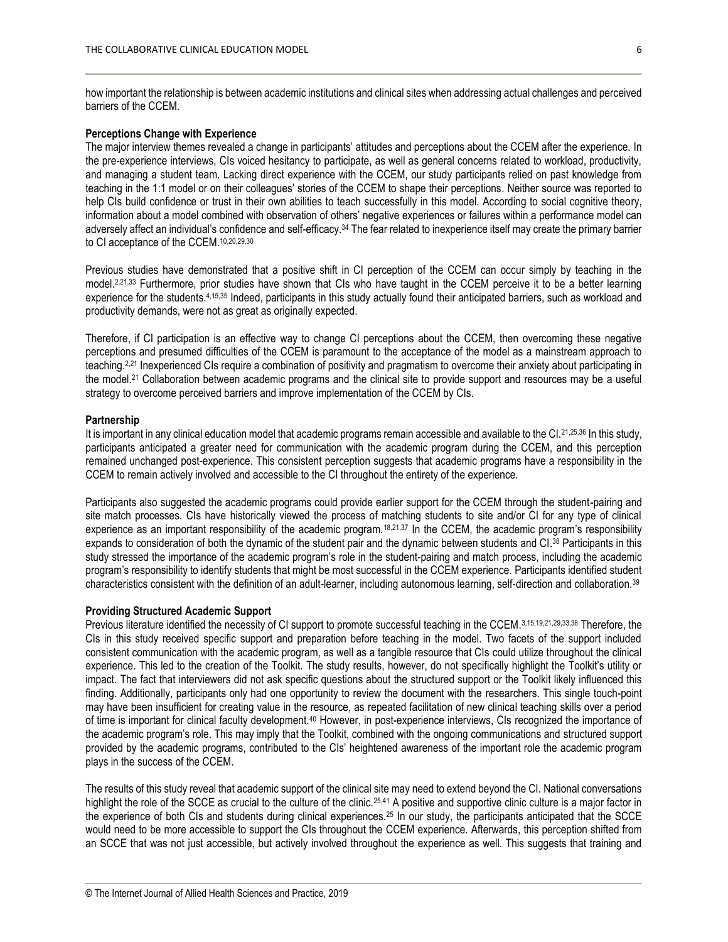how important the relationship is between academic institutions and clinical sites when addressing actual challenges and perceived barriers of the CCEM.

## **Perceptions Change with Experience**

The major interview themes revealed a change in participants' attitudes and perceptions about the CCEM after the experience. In the pre-experience interviews, CIs voiced hesitancy to participate, as well as general concerns related to workload, productivity, and managing a student team. Lacking direct experience with the CCEM, our study participants relied on past knowledge from teaching in the 1:1 model or on their colleagues' stories of the CCEM to shape their perceptions. Neither source was reported to help CIs build confidence or trust in their own abilities to teach successfully in this model. According to social cognitive theory, information about a model combined with observation of others' negative experiences or failures within a performance model can adversely affect an individual's confidence and self-efficacy.<sup>34</sup> The fear related to inexperience itself may create the primary barrier to CI acceptance of the CCEM. 10,20,29,30

Previous studies have demonstrated that a positive shift in CI perception of the CCEM can occur simply by teaching in the model.2,21,33 Furthermore, prior studies have shown that CIs who have taught in the CCEM perceive it to be a better learning experience for the students.<sup>4,15,35</sup> Indeed, participants in this study actually found their anticipated barriers, such as workload and productivity demands, were not as great as originally expected.

Therefore, if CI participation is an effective way to change CI perceptions about the CCEM, then overcoming these negative perceptions and presumed difficulties of the CCEM is paramount to the acceptance of the model as a mainstream approach to teaching.2,21 Inexperienced CIs require a combination of positivity and pragmatism to overcome their anxiety about participating in the model.<sup>21</sup> Collaboration between academic programs and the clinical site to provide support and resources may be a useful strategy to overcome perceived barriers and improve implementation of the CCEM by CIs.

## **Partnership**

It is important in any clinical education model that academic programs remain accessible and available to the CI.<sup>21,25,36</sup> In this study, participants anticipated a greater need for communication with the academic program during the CCEM, and this perception remained unchanged post-experience. This consistent perception suggests that academic programs have a responsibility in the CCEM to remain actively involved and accessible to the CI throughout the entirety of the experience.

Participants also suggested the academic programs could provide earlier support for the CCEM through the student-pairing and site match processes. CIs have historically viewed the process of matching students to site and/or CI for any type of clinical experience as an important responsibility of the academic program.18,21,37 In the CCEM, the academic program's responsibility expands to consideration of both the dynamic of the student pair and the dynamic between students and CI.<sup>38</sup> Participants in this study stressed the importance of the academic program's role in the student-pairing and match process, including the academic program's responsibility to identify students that might be most successful in the CCEM experience. Participants identified student characteristics consistent with the definition of an adult-learner, including autonomous learning, self-direction and collaboration.<sup>39</sup>

#### **Providing Structured Academic Support**

Previous literature identified the necessity of CI support to promote successful teaching in the CCEM.3.15,19,21,29,33,38 Therefore, the CIs in this study received specific support and preparation before teaching in the model. Two facets of the support included consistent communication with the academic program, as well as a tangible resource that CIs could utilize throughout the clinical experience. This led to the creation of the Toolkit. The study results, however, do not specifically highlight the Toolkit's utility or impact. The fact that interviewers did not ask specific questions about the structured support or the Toolkit likely influenced this finding. Additionally, participants only had one opportunity to review the document with the researchers. This single touch-point may have been insufficient for creating value in the resource, as repeated facilitation of new clinical teaching skills over a period of time is important for clinical faculty development.<sup>40</sup> However, in post-experience interviews, CIs recognized the importance of the academic program's role. This may imply that the Toolkit, combined with the ongoing communications and structured support provided by the academic programs, contributed to the CIs' heightened awareness of the important role the academic program plays in the success of the CCEM.

The results of this study reveal that academic support of the clinical site may need to extend beyond the CI. National conversations highlight the role of the SCCE as crucial to the culture of the clinic.<sup>25,41</sup> A positive and supportive clinic culture is a major factor in the experience of both CIs and students during clinical experiences.<sup>25</sup> In our study, the participants anticipated that the SCCE would need to be more accessible to support the CIs throughout the CCEM experience. Afterwards, this perception shifted from an SCCE that was not just accessible, but actively involved throughout the experience as well. This suggests that training and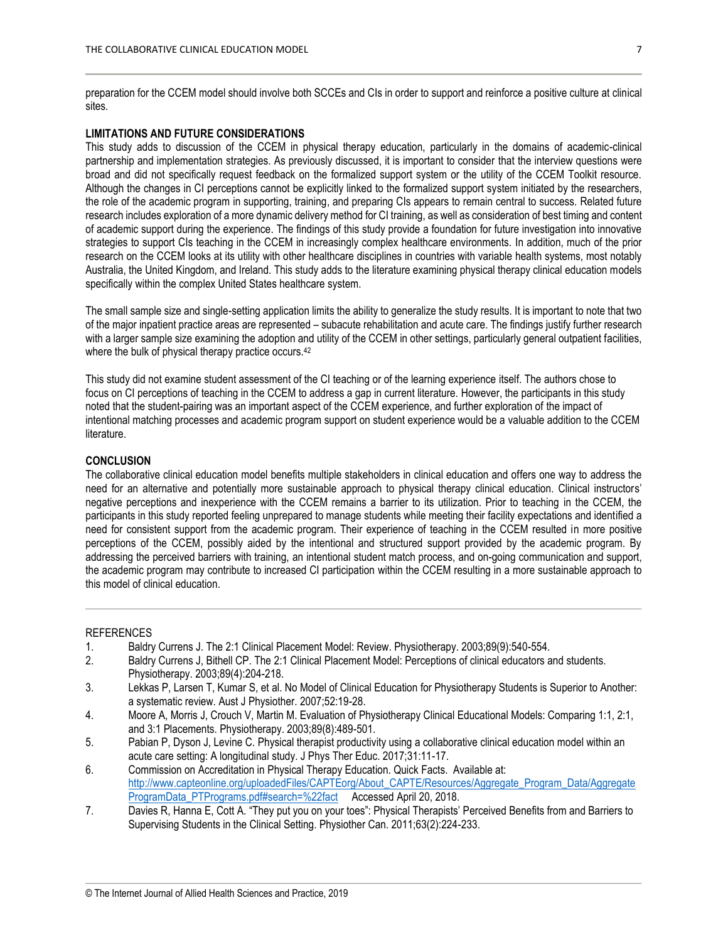preparation for the CCEM model should involve both SCCEs and CIs in order to support and reinforce a positive culture at clinical sites.

# **LIMITATIONS AND FUTURE CONSIDERATIONS**

This study adds to discussion of the CCEM in physical therapy education, particularly in the domains of academic-clinical partnership and implementation strategies. As previously discussed, it is important to consider that the interview questions were broad and did not specifically request feedback on the formalized support system or the utility of the CCEM Toolkit resource. Although the changes in CI perceptions cannot be explicitly linked to the formalized support system initiated by the researchers, the role of the academic program in supporting, training, and preparing CIs appears to remain central to success. Related future research includes exploration of a more dynamic delivery method for CI training, as well as consideration of best timing and content of academic support during the experience. The findings of this study provide a foundation for future investigation into innovative strategies to support CIs teaching in the CCEM in increasingly complex healthcare environments. In addition, much of the prior research on the CCEM looks at its utility with other healthcare disciplines in countries with variable health systems, most notably Australia, the United Kingdom, and Ireland. This study adds to the literature examining physical therapy clinical education models specifically within the complex United States healthcare system.

The small sample size and single-setting application limits the ability to generalize the study results. It is important to note that two of the major inpatient practice areas are represented – subacute rehabilitation and acute care. The findings justify further research with a larger sample size examining the adoption and utility of the CCEM in other settings, particularly general outpatient facilities, where the bulk of physical therapy practice occurs.<sup>42</sup>

This study did not examine student assessment of the CI teaching or of the learning experience itself. The authors chose to focus on CI perceptions of teaching in the CCEM to address a gap in current literature. However, the participants in this study noted that the student-pairing was an important aspect of the CCEM experience, and further exploration of the impact of intentional matching processes and academic program support on student experience would be a valuable addition to the CCEM literature.

### **CONCLUSION**

The collaborative clinical education model benefits multiple stakeholders in clinical education and offers one way to address the need for an alternative and potentially more sustainable approach to physical therapy clinical education. Clinical instructors' negative perceptions and inexperience with the CCEM remains a barrier to its utilization. Prior to teaching in the CCEM, the participants in this study reported feeling unprepared to manage students while meeting their facility expectations and identified a need for consistent support from the academic program. Their experience of teaching in the CCEM resulted in more positive perceptions of the CCEM, possibly aided by the intentional and structured support provided by the academic program. By addressing the perceived barriers with training, an intentional student match process, and on-going communication and support, the academic program may contribute to increased CI participation within the CCEM resulting in a more sustainable approach to this model of clinical education.

# **REFERENCES**

- 1. Baldry Currens J. The 2:1 Clinical Placement Model: Review. Physiotherapy. 2003;89(9):540-554.
- 2. Baldry Currens J, Bithell CP. The 2:1 Clinical Placement Model: Perceptions of clinical educators and students. Physiotherapy. 2003;89(4):204-218.
- 3. Lekkas P, Larsen T, Kumar S, et al. No Model of Clinical Education for Physiotherapy Students is Superior to Another: a systematic review. Aust J Physiother. 2007;52:19-28.
- 4. Moore A, Morris J, Crouch V, Martin M. Evaluation of Physiotherapy Clinical Educational Models: Comparing 1:1, 2:1, and 3:1 Placements. Physiotherapy. 2003;89(8):489-501.
- 5. Pabian P, Dyson J, Levine C. Physical therapist productivity using a collaborative clinical education model within an acute care setting: A longitudinal study. J Phys Ther Educ. 2017;31:11-17.
- 6. Commission on Accreditation in Physical Therapy Education. Quick Facts. Available at: [http://www.capteonline.org/uploadedFiles/CAPTEorg/About\\_CAPTE/Resources/Aggregate\\_Program\\_Data/Aggregate](http://www.capteonline.org/uploadedFiles/CAPTEorg/About_CAPTE/Resources/Aggregate_Program_Data/AggregateProgramData_PTPrograms.pdf#search=%22fact) [ProgramData\\_PTPrograms.pdf#search=%22fact](http://www.capteonline.org/uploadedFiles/CAPTEorg/About_CAPTE/Resources/Aggregate_Program_Data/AggregateProgramData_PTPrograms.pdf#search=%22fact) Accessed April 20, 2018.
- 7. Davies R, Hanna E, Cott A. "They put you on your toes": Physical Therapists' Perceived Benefits from and Barriers to Supervising Students in the Clinical Setting. Physiother Can. 2011;63(2):224-233.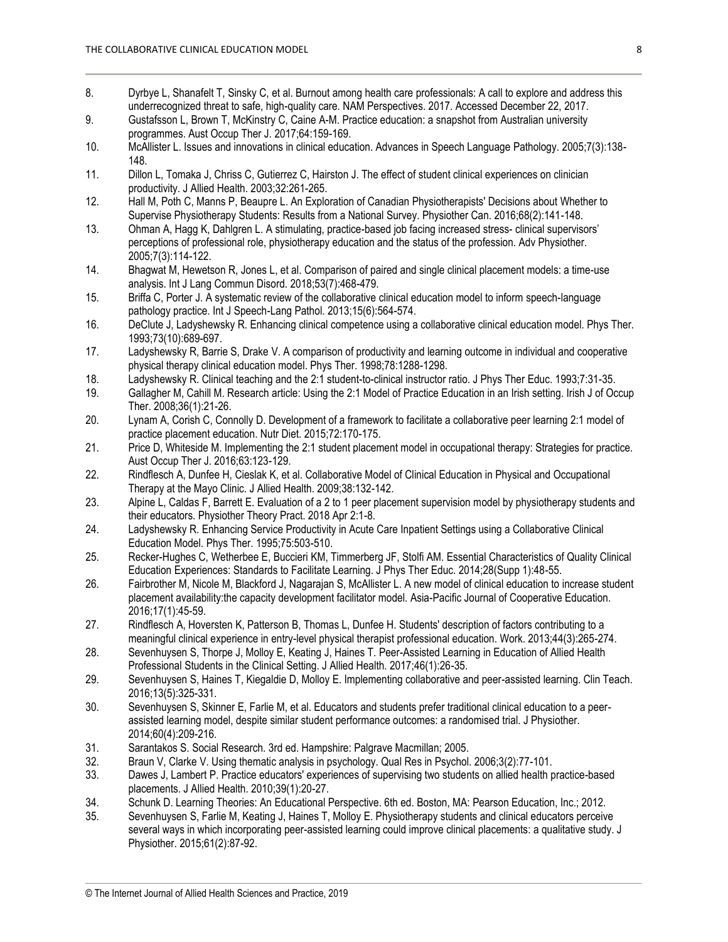- 8. Dyrbye L, Shanafelt T, Sinsky C, et al. Burnout among health care professionals: A call to explore and address this underrecognized threat to safe, high-quality care. NAM Perspectives. 2017. Accessed December 22, 2017.
- 9. Gustafsson L, Brown T, McKinstry C, Caine A-M. Practice education: a snapshot from Australian university programmes. Aust Occup Ther J. 2017;64:159-169.
- 10. McAllister L. Issues and innovations in clinical education. Advances in Speech Language Pathology. 2005;7(3):138- 148.
- 11. Dillon L, Tomaka J, Chriss C, Gutierrez C, Hairston J. The effect of student clinical experiences on clinician productivity. J Allied Health. 2003;32:261-265.
- 12. Hall M, Poth C, Manns P, Beaupre L. An Exploration of Canadian Physiotherapists' Decisions about Whether to Supervise Physiotherapy Students: Results from a National Survey. Physiother Can. 2016;68(2):141-148.
- 13. Ohman A, Hagg K, Dahlgren L. A stimulating, practice-based job facing increased stress- clinical supervisors' perceptions of professional role, physiotherapy education and the status of the profession. Adv Physiother. 2005;7(3):114-122.
- 14. Bhagwat M, Hewetson R, Jones L, et al. Comparison of paired and single clinical placement models: a time-use analysis. Int J Lang Commun Disord. 2018;53(7):468-479.
- 15. Briffa C, Porter J. A systematic review of the collaborative clinical education model to inform speech-language pathology practice. Int J Speech-Lang Pathol. 2013;15(6):564-574.
- 16. DeClute J, Ladyshewsky R. Enhancing clinical competence using a collaborative clinical education model. Phys Ther. 1993;73(10):689-697.
- 17. Ladyshewsky R, Barrie S, Drake V. A comparison of productivity and learning outcome in individual and cooperative physical therapy clinical education model. Phys Ther. 1998;78:1288-1298.
- 18. Ladyshewsky R. Clinical teaching and the 2:1 student-to-clinical instructor ratio. J Phys Ther Educ. 1993;7:31-35.
- 19. Gallagher M, Cahill M. Research article: Using the 2:1 Model of Practice Education in an Irish setting. Irish J of Occup Ther. 2008;36(1):21-26.
- 20. Lynam A, Corish C, Connolly D. Development of a framework to facilitate a collaborative peer learning 2:1 model of practice placement education. Nutr Diet. 2015;72:170-175.
- 21. Price D, Whiteside M. Implementing the 2:1 student placement model in occupational therapy: Strategies for practice. Aust Occup Ther J. 2016;63:123-129.
- 22. Rindflesch A, Dunfee H, Cieslak K, et al. Collaborative Model of Clinical Education in Physical and Occupational Therapy at the Mayo Clinic. J Allied Health. 2009;38:132-142.
- 23. Alpine L, Caldas F, Barrett E. Evaluation of a 2 to 1 peer placement supervision model by physiotherapy students and their educators. Physiother Theory Pract. 2018 Apr 2:1-8.
- 24. Ladyshewsky R. Enhancing Service Productivity in Acute Care Inpatient Settings using a Collaborative Clinical Education Model. Phys Ther. 1995;75:503-510.
- 25. Recker-Hughes C, Wetherbee E, Buccieri KM, Timmerberg JF, Stolfi AM. Essential Characteristics of Quality Clinical Education Experiences: Standards to Facilitate Learning. J Phys Ther Educ. 2014;28(Supp 1):48-55.
- 26. Fairbrother M, Nicole M, Blackford J, Nagarajan S, McAllister L. A new model of clinical education to increase student placement availability:the capacity development facilitator model. Asia-Pacific Journal of Cooperative Education. 2016;17(1):45-59.
- 27. Rindflesch A, Hoversten K, Patterson B, Thomas L, Dunfee H. Students' description of factors contributing to a meaningful clinical experience in entry-level physical therapist professional education. Work. 2013;44(3):265-274.
- 28. Sevenhuysen S, Thorpe J, Molloy E, Keating J, Haines T. Peer-Assisted Learning in Education of Allied Health Professional Students in the Clinical Setting. J Allied Health. 2017;46(1):26-35.
- 29. Sevenhuysen S, Haines T, Kiegaldie D, Molloy E. Implementing collaborative and peer-assisted learning. Clin Teach. 2016;13(5):325-331.
- 30. Sevenhuysen S, Skinner E, Farlie M, et al. Educators and students prefer traditional clinical education to a peerassisted learning model, despite similar student performance outcomes: a randomised trial. J Physiother. 2014;60(4):209-216.
- 31. Sarantakos S. Social Research. 3rd ed. Hampshire: Palgrave Macmillan; 2005.
- 32. Braun V, Clarke V. Using thematic analysis in psychology. Qual Res in Psychol. 2006;3(2):77-101.
- 33. Dawes J, Lambert P. Practice educators' experiences of supervising two students on allied health practice-based placements. J Allied Health. 2010;39(1):20-27.
- 34. Schunk D. Learning Theories: An Educational Perspective. 6th ed. Boston, MA: Pearson Education, Inc.; 2012.
- 35. Sevenhuysen S, Farlie M, Keating J, Haines T, Molloy E. Physiotherapy students and clinical educators perceive several ways in which incorporating peer-assisted learning could improve clinical placements: a qualitative study. J Physiother. 2015;61(2):87-92.